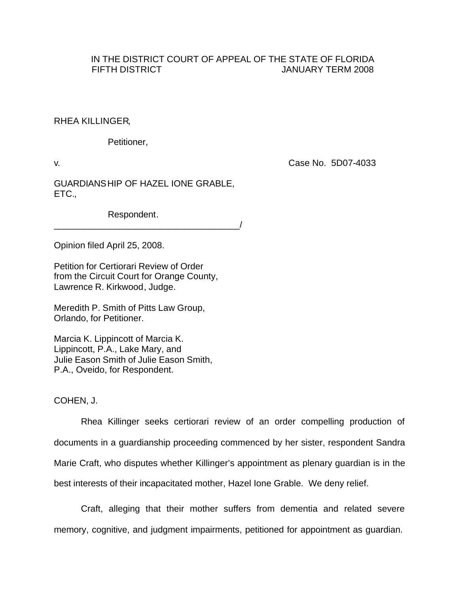## IN THE DISTRICT COURT OF APPEAL OF THE STATE OF FLORIDA FIFTH DISTRICT **The STATE STATE STATE STATES IN THE STATE OF STATE STATES IN THE STATE STATES IN THE STATE STATES**

## RHEA KILLINGER,

Petitioner,

v. Case No. 5D07-4033

GUARDIANSHIP OF HAZEL IONE GRABLE, ETC.,

\_\_\_\_\_\_\_\_\_\_\_\_\_\_\_\_\_\_\_\_\_\_\_\_\_\_\_\_\_\_\_\_\_\_\_\_\_/

Respondent.

Opinion filed April 25, 2008.

Petition for Certiorari Review of Order from the Circuit Court for Orange County, Lawrence R. Kirkwood, Judge.

Meredith P. Smith of Pitts Law Group, Orlando, for Petitioner.

Marcia K. Lippincott of Marcia K. Lippincott, P.A., Lake Mary, and Julie Eason Smith of Julie Eason Smith, P.A., Oveido, for Respondent.

COHEN, J.

Rhea Killinger seeks certiorari review of an order compelling production of documents in a guardianship proceeding commenced by her sister, respondent Sandra Marie Craft, who disputes whether Killinger's appointment as plenary guardian is in the best interests of their incapacitated mother, Hazel Ione Grable. We deny relief.

Craft, alleging that their mother suffers from dementia and related severe memory, cognitive, and judgment impairments, petitioned for appointment as guardian.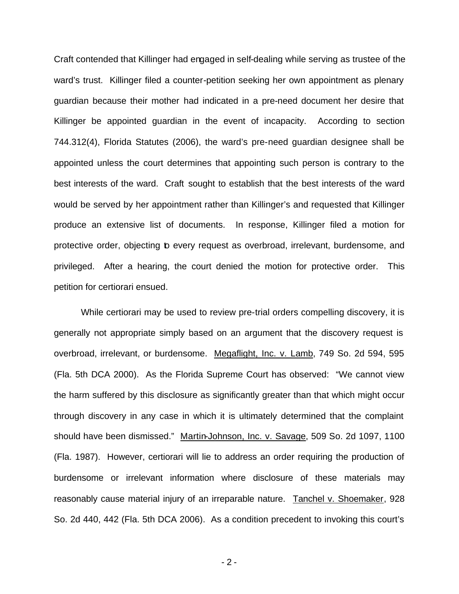Craft contended that Killinger had engaged in self-dealing while serving as trustee of the ward's trust. Killinger filed a counter-petition seeking her own appointment as plenary guardian because their mother had indicated in a pre-need document her desire that Killinger be appointed guardian in the event of incapacity. According to section 744.312(4), Florida Statutes (2006), the ward's pre-need guardian designee shall be appointed unless the court determines that appointing such person is contrary to the best interests of the ward. Craft sought to establish that the best interests of the ward would be served by her appointment rather than Killinger's and requested that Killinger produce an extensive list of documents. In response, Killinger filed a motion for protective order, objecting to every request as overbroad, irrelevant, burdensome, and privileged. After a hearing, the court denied the motion for protective order. This petition for certiorari ensued.

While certiorari may be used to review pre-trial orders compelling discovery, it is generally not appropriate simply based on an argument that the discovery request is overbroad, irrelevant, or burdensome. Megaflight, Inc. v. Lamb, 749 So. 2d 594, 595 (Fla. 5th DCA 2000). As the Florida Supreme Court has observed: "We cannot view the harm suffered by this disclosure as significantly greater than that which might occur through discovery in any case in which it is ultimately determined that the complaint should have been dismissed." Martin-Johnson, Inc. v. Savage, 509 So. 2d 1097, 1100 (Fla. 1987). However, certiorari will lie to address an order requiring the production of burdensome or irrelevant information where disclosure of these materials may reasonably cause material injury of an irreparable nature. Tanchel v. Shoemaker, 928 So. 2d 440, 442 (Fla. 5th DCA 2006). As a condition precedent to invoking this court's

- 2 -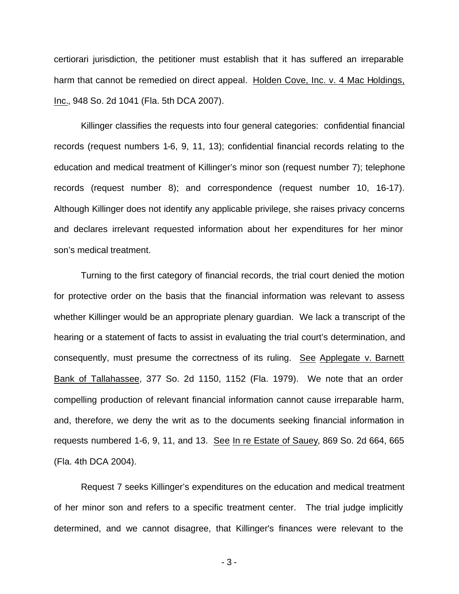certiorari jurisdiction, the petitioner must establish that it has suffered an irreparable harm that cannot be remedied on direct appeal. Holden Cove, Inc. v. 4 Mac Holdings, Inc., 948 So. 2d 1041 (Fla. 5th DCA 2007).

Killinger classifies the requests into four general categories: confidential financial records (request numbers 1-6, 9, 11, 13); confidential financial records relating to the education and medical treatment of Killinger's minor son (request number 7); telephone records (request number 8); and correspondence (request number 10, 16-17). Although Killinger does not identify any applicable privilege, she raises privacy concerns and declares irrelevant requested information about her expenditures for her minor son's medical treatment.

Turning to the first category of financial records, the trial court denied the motion for protective order on the basis that the financial information was relevant to assess whether Killinger would be an appropriate plenary guardian. We lack a transcript of the hearing or a statement of facts to assist in evaluating the trial court's determination, and consequently, must presume the correctness of its ruling. See Applegate v. Barnett Bank of Tallahassee, 377 So. 2d 1150, 1152 (Fla. 1979). We note that an order compelling production of relevant financial information cannot cause irreparable harm, and, therefore, we deny the writ as to the documents seeking financial information in requests numbered 1-6, 9, 11, and 13. See In re Estate of Sauey, 869 So. 2d 664, 665 (Fla. 4th DCA 2004).

Request 7 seeks Killinger's expenditures on the education and medical treatment of her minor son and refers to a specific treatment center. The trial judge implicitly determined, and we cannot disagree, that Killinger's finances were relevant to the

- 3 -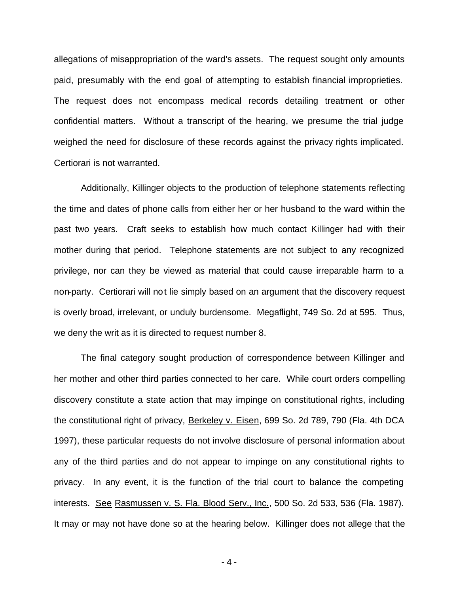allegations of misappropriation of the ward's assets. The request sought only amounts paid, presumably with the end goal of attempting to establish financial improprieties. The request does not encompass medical records detailing treatment or other confidential matters. Without a transcript of the hearing, we presume the trial judge weighed the need for disclosure of these records against the privacy rights implicated. Certiorari is not warranted.

Additionally, Killinger objects to the production of telephone statements reflecting the time and dates of phone calls from either her or her husband to the ward within the past two years. Craft seeks to establish how much contact Killinger had with their mother during that period. Telephone statements are not subject to any recognized privilege, nor can they be viewed as material that could cause irreparable harm to a non-party. Certiorari will not lie simply based on an argument that the discovery request is overly broad, irrelevant, or unduly burdensome. Megaflight, 749 So. 2d at 595. Thus, we deny the writ as it is directed to request number 8.

The final category sought production of correspondence between Killinger and her mother and other third parties connected to her care. While court orders compelling discovery constitute a state action that may impinge on constitutional rights, including the constitutional right of privacy, Berkeley v. Eisen, 699 So. 2d 789, 790 (Fla. 4th DCA 1997), these particular requests do not involve disclosure of personal information about any of the third parties and do not appear to impinge on any constitutional rights to privacy. In any event, it is the function of the trial court to balance the competing interests. See Rasmussen v. S. Fla. Blood Serv., Inc., 500 So. 2d 533, 536 (Fla. 1987). It may or may not have done so at the hearing below. Killinger does not allege that the